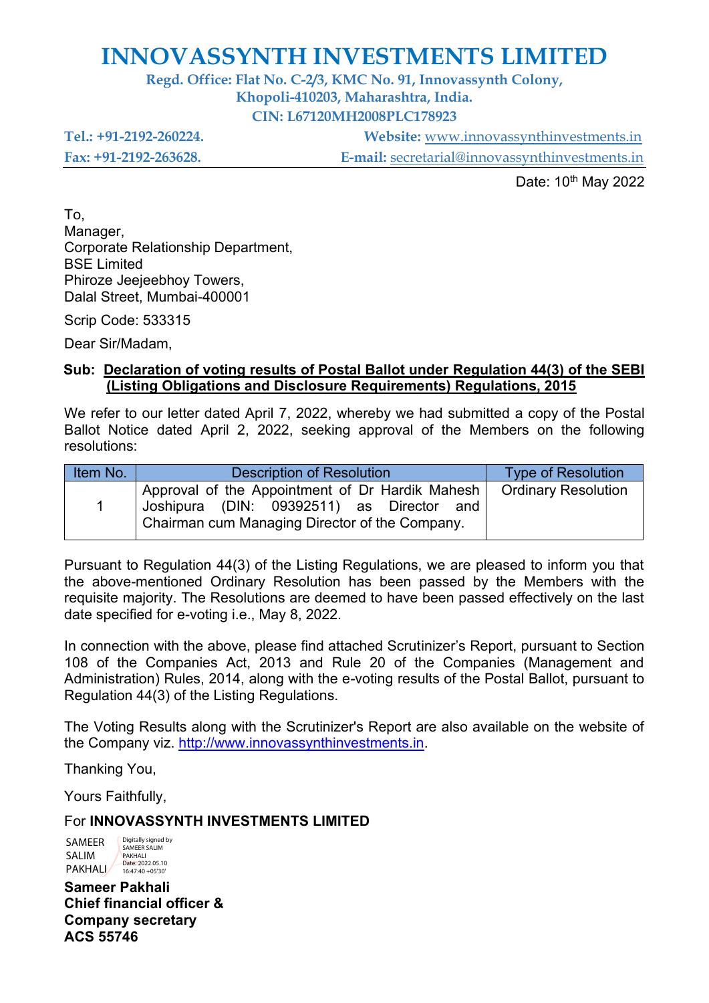### **INNOVASSYNTH INVESTMENTS LIMITED**

**Regd. Office: Flat No. C-2/3, KMC No. 91, Innovassynth Colony,**

**Khopoli-410203, Maharashtra, India.**

**CIN: L67120MH2008PLC178923**

**Tel.: +91-2192-260224. Website:** [www.innovassynthinvestments.in](http://www.innovassynthinvestments.in/)

**Fax: +91-2192-263628. E-mail:** [secretarial@innovassynthinvestments.in](mailto:secretarial@innovassynthinvestments.in)

Date: 10<sup>th</sup> May 2022

To, Manager, Corporate Relationship Department, BSE Limited Phiroze Jeejeebhoy Towers, Dalal Street, Mumbai-400001

Scrip Code: 533315

Dear Sir/Madam,

#### **Sub: Declaration of voting results of Postal Ballot under Regulation 44(3) of the SEBI (Listing Obligations and Disclosure Requirements) Regulations, 2015**

We refer to our letter dated April 7, 2022, whereby we had submitted a copy of the Postal Ballot Notice dated April 2, 2022, seeking approval of the Members on the following resolutions:

| Item No. | <b>Description of Resolution</b>                                                                                                                                     | <b>Type of Resolution</b> |
|----------|----------------------------------------------------------------------------------------------------------------------------------------------------------------------|---------------------------|
|          | Approval of the Appointment of Dr Hardik Mahesh   Ordinary Resolution<br>Joshipura (DIN: 09392511) as Director and<br>Chairman cum Managing Director of the Company. |                           |

Pursuant to Regulation 44(3) of the Listing Regulations, we are pleased to inform you that the above-mentioned Ordinary Resolution has been passed by the Members with the requisite majority. The Resolutions are deemed to have been passed effectively on the last date specified for e-voting i.e., May 8, 2022.

In connection with the above, please find attached Scrutinizer's Report, pursuant to Section 108 of the Companies Act, 2013 and Rule 20 of the Companies (Management and Administration) Rules, 2014, along with the e-voting results of the Postal Ballot, pursuant to Regulation 44(3) of the Listing Regulations.

The Voting Results along with the Scrutinizer's Report are also available on the website of the Company viz. [http://www.innovassynthinvestments.in.](http://www.innovassynthinvestments.in/)

Thanking You,

Yours Faithfully,

#### For **INNOVASSYNTH INVESTMENTS LIMITED**

SAMEER SALIM PAKHALI Digitally signed by SAMEER SALIM PAKHALI Date: 2022.05.10 16:47:40 +05'30'

**Sameer Pakhali Chief financial officer & Company secretary ACS 55746**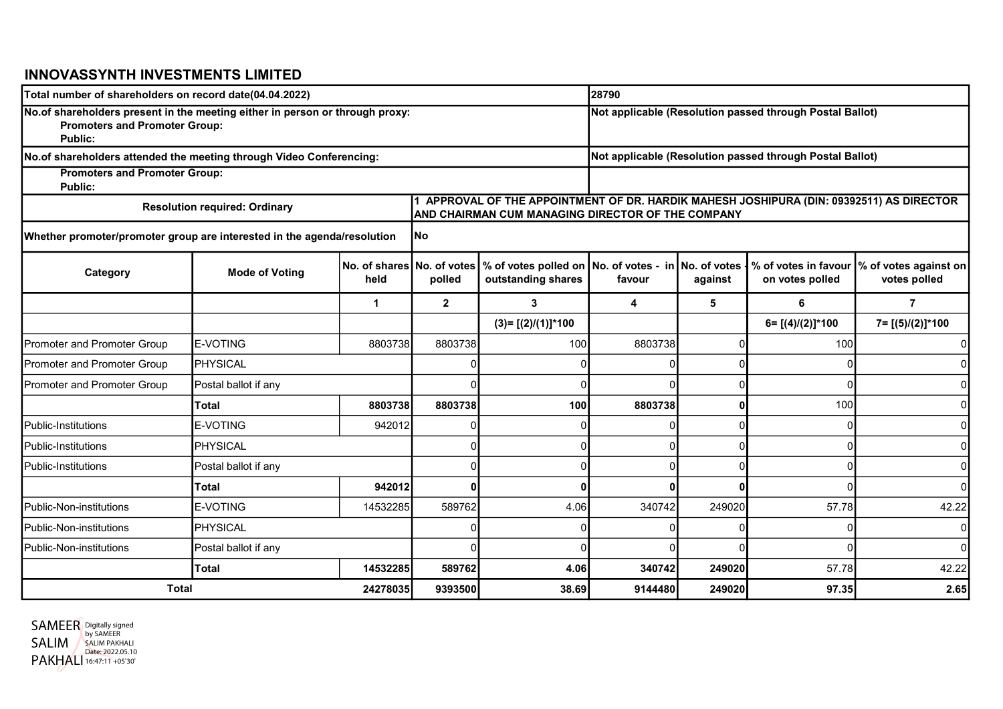#### INNOVASSYNTH INVESTMENTS LIMITED

| Total number of shareholders on record date(04.04.2022)                                                                         |                       |                                                          |              |                                                                                                                                               | 28790                                                    |         |                      |                                                             |  |  |  |
|---------------------------------------------------------------------------------------------------------------------------------|-----------------------|----------------------------------------------------------|--------------|-----------------------------------------------------------------------------------------------------------------------------------------------|----------------------------------------------------------|---------|----------------------|-------------------------------------------------------------|--|--|--|
| No.of shareholders present in the meeting either in person or through proxy:<br><b>Promoters and Promoter Group:</b><br>Public: |                       | Not applicable (Resolution passed through Postal Ballot) |              |                                                                                                                                               |                                                          |         |                      |                                                             |  |  |  |
| No.of shareholders attended the meeting through Video Conferencing:                                                             |                       |                                                          |              |                                                                                                                                               | Not applicable (Resolution passed through Postal Ballot) |         |                      |                                                             |  |  |  |
| <b>Promoters and Promoter Group:</b><br><b>Public:</b>                                                                          |                       |                                                          |              |                                                                                                                                               |                                                          |         |                      |                                                             |  |  |  |
| <b>Resolution required: Ordinary</b>                                                                                            |                       |                                                          |              | 1 APPROVAL OF THE APPOINTMENT OF DR. HARDIK MAHESH JOSHIPURA (DIN: 09392511) AS DIRECTOR<br>AND CHAIRMAN CUM MANAGING DIRECTOR OF THE COMPANY |                                                          |         |                      |                                                             |  |  |  |
| Whether promoter/promoter group are interested in the agenda/resolution                                                         |                       |                                                          | lNo          |                                                                                                                                               |                                                          |         |                      |                                                             |  |  |  |
| Category                                                                                                                        | <b>Mode of Voting</b> | No. of shares No. of votes<br>held                       | polled       | % of votes polled on<br>outstanding shares                                                                                                    | No. of votes - in No. of votes<br>favour                 | against | on votes polled      | % of votes in favour  % of votes against on<br>votes polled |  |  |  |
|                                                                                                                                 |                       | 1                                                        | $\mathbf{2}$ | 3                                                                                                                                             | 4                                                        | 5       | 6                    | $\overline{7}$                                              |  |  |  |
|                                                                                                                                 |                       |                                                          |              | $(3)=[(2)/(1)]*100$                                                                                                                           |                                                          |         | $6 = [(4)/(2)]$ *100 | 7= [(5)/(2)]*100                                            |  |  |  |
| Promoter and Promoter Group                                                                                                     | <b>E-VOTING</b>       | 8803738                                                  | 8803738      | 100                                                                                                                                           | 8803738                                                  |         | 100                  |                                                             |  |  |  |
| Promoter and Promoter Group                                                                                                     | PHYSICAL              |                                                          |              |                                                                                                                                               |                                                          |         |                      |                                                             |  |  |  |
| Promoter and Promoter Group                                                                                                     | Postal ballot if any  |                                                          |              |                                                                                                                                               |                                                          |         |                      |                                                             |  |  |  |
|                                                                                                                                 | <b>Total</b>          | 8803738                                                  | 8803738      | 100                                                                                                                                           | 8803738                                                  |         | 100                  |                                                             |  |  |  |
| <b>I</b> Public-Institutions                                                                                                    | <b>E-VOTING</b>       | 942012                                                   |              |                                                                                                                                               |                                                          |         |                      |                                                             |  |  |  |
| <b>I</b> Public-Institutions                                                                                                    | <b>PHYSICAL</b>       |                                                          |              | $\Omega$                                                                                                                                      |                                                          |         |                      |                                                             |  |  |  |
| <b>I</b> Public-Institutions                                                                                                    | Postal ballot if any  |                                                          |              | $\Omega$                                                                                                                                      |                                                          |         |                      |                                                             |  |  |  |
|                                                                                                                                 | <b>Total</b>          | 942012                                                   | U            | ŋ                                                                                                                                             | n                                                        | n       |                      |                                                             |  |  |  |
| Public-Non-institutions                                                                                                         | E-VOTING              | 14532285                                                 | 589762       | 4.06                                                                                                                                          | 340742                                                   | 249020  | 57.78                | 42.22                                                       |  |  |  |
| Public-Non-institutions                                                                                                         | PHYSICAL              |                                                          |              | $\Omega$                                                                                                                                      |                                                          |         |                      |                                                             |  |  |  |
| <b>I</b> Public-Non-institutions                                                                                                | Postal ballot if any  |                                                          |              | ∩                                                                                                                                             |                                                          |         |                      |                                                             |  |  |  |
|                                                                                                                                 | <b>Total</b>          | 14532285                                                 | 589762       | 4.06                                                                                                                                          | 340742                                                   | 249020  | 57.78                | 42.22                                                       |  |  |  |
| <b>Total</b><br>24278035                                                                                                        |                       | 9393500                                                  | 38.69        | 9144480                                                                                                                                       | 249020                                                   | 97.35   | 2.65                 |                                                             |  |  |  |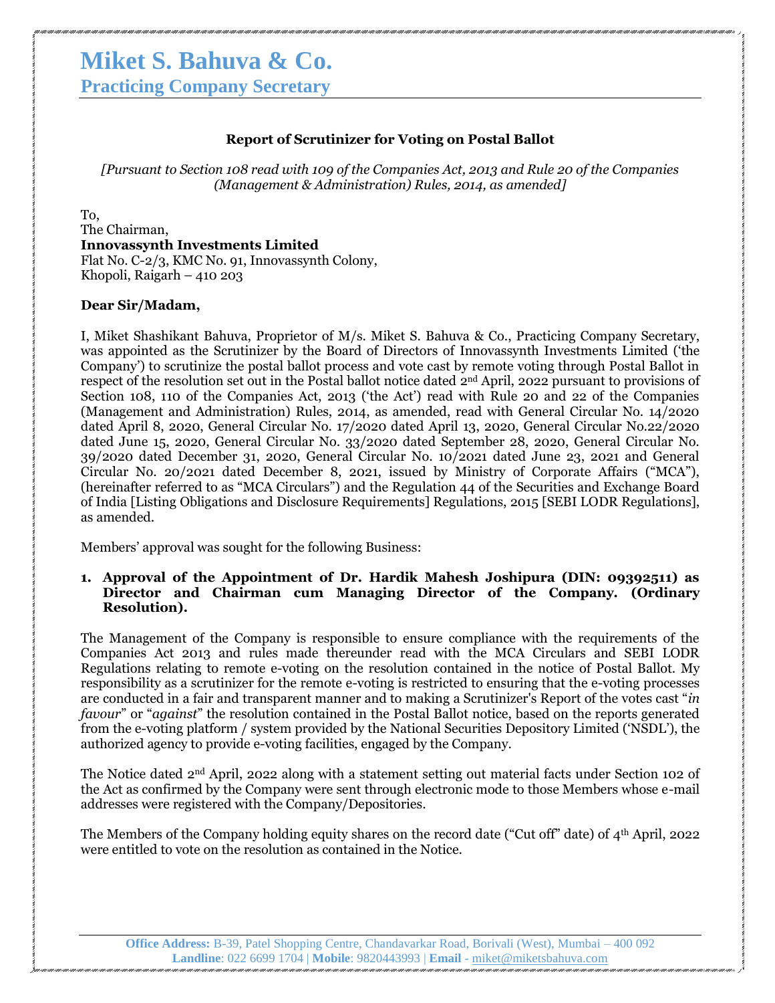# **Miket S. Bahuva & Co.**

**Practicing Company Secretary**

#### **Report of Scrutinizer for Voting on Postal Ballot**

*[Pursuant to Section 108 read with 109 of the Companies Act, 2013 and Rule 20 of the Companies (Management & Administration) Rules, 2014, as amended]*

To,

The Chairman, **Innovassynth Investments Limited** Flat No. C-2/3, KMC No. 91, Innovassynth Colony, Khopoli, Raigarh – 410 203

#### **Dear Sir/Madam,**

I, Miket Shashikant Bahuva, Proprietor of M/s. Miket S. Bahuva & Co., Practicing Company Secretary, was appointed as the Scrutinizer by the Board of Directors of Innovassynth Investments Limited ("the Company") to scrutinize the postal ballot process and vote cast by remote voting through Postal Ballot in respect of the resolution set out in the Postal ballot notice dated 2<sup>nd</sup> April, 2022 pursuant to provisions of Section 108, 110 of the Companies Act, 2013 ('the Act') read with Rule 20 and 22 of the Companies (Management and Administration) Rules, 2014, as amended, read with General Circular No. 14/2020 dated April 8, 2020, General Circular No. 17/2020 dated April 13, 2020, General Circular No.22/2020 dated June 15, 2020, General Circular No. 33/2020 dated September 28, 2020, General Circular No. 39/2020 dated December 31, 2020, General Circular No. 10/2021 dated June 23, 2021 and General Circular No. 20/2021 dated December 8, 2021, issued by Ministry of Corporate Affairs ("MCA"), (hereinafter referred to as "MCA Circulars") and the Regulation 44 of the Securities and Exchange Board of India [Listing Obligations and Disclosure Requirements] Regulations, 2015 [SEBI LODR Regulations], as amended.

Members" approval was sought for the following Business:

#### **1. Approval of the Appointment of Dr. Hardik Mahesh Joshipura (DIN: 09392511) as Director and Chairman cum Managing Director of the Company. (Ordinary Resolution).**

The Management of the Company is responsible to ensure compliance with the requirements of the Companies Act 2013 and rules made thereunder read with the MCA Circulars and SEBI LODR Regulations relating to remote e-voting on the resolution contained in the notice of Postal Ballot. My responsibility as a scrutinizer for the remote e-voting is restricted to ensuring that the e-voting processes are conducted in a fair and transparent manner and to making a Scrutinizer's Report of the votes cast "*in favour*" or "*against*" the resolution contained in the Postal Ballot notice, based on the reports generated from the e-voting platform / system provided by the National Securities Depository Limited ("NSDL"), the authorized agency to provide e-voting facilities, engaged by the Company.

The Notice dated 2<sup>nd</sup> April, 2022 along with a statement setting out material facts under Section 102 of the Act as confirmed by the Company were sent through electronic mode to those Members whose e-mail addresses were registered with the Company/Depositories.

The Members of the Company holding equity shares on the record date ("Cut off" date) of 4<sup>th</sup> April, 2022 were entitled to vote on the resolution as contained in the Notice.

**Office Address:** B-39, Patel Shopping Centre, Chandavarkar Road, Borivali (West), Mumbai – 400 092 **Landline**: 022 6699 1704 | **Mobile**: 9820443993 | **Email** - miket@miketsbahuva.com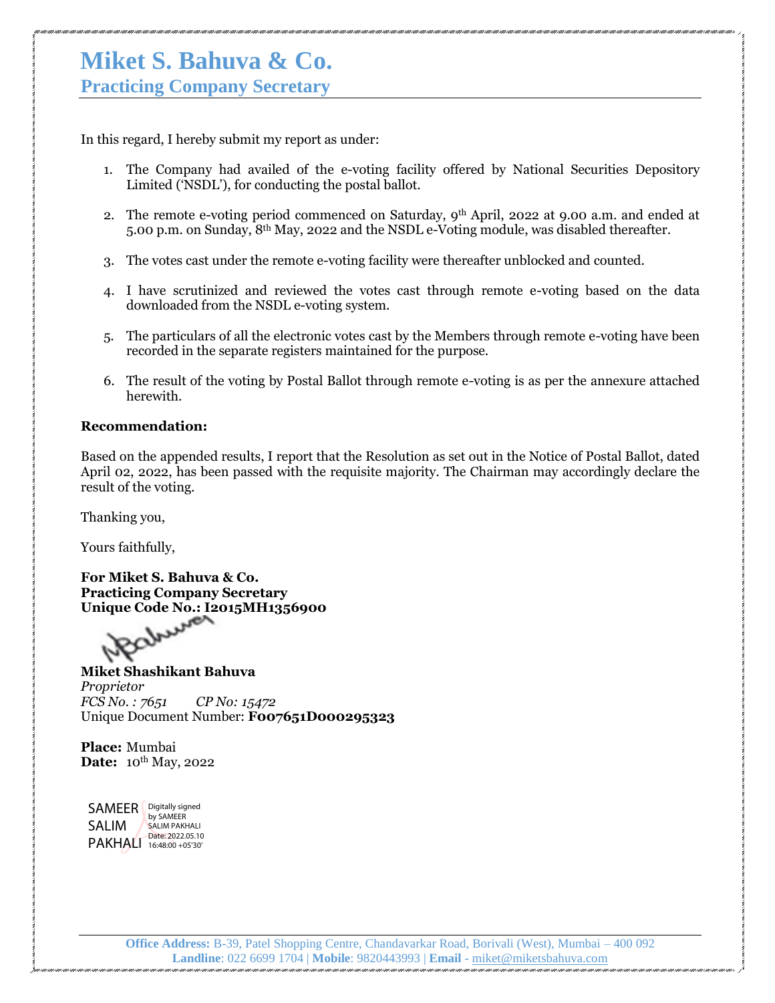## **Miket S. Bahuva & Co.**

**Practicing Company Secretary**

In this regard, I hereby submit my report as under:

- 1. The Company had availed of the e-voting facility offered by National Securities Depository Limited ("NSDL"), for conducting the postal ballot.
- 2. The remote e-voting period commenced on Saturday, 9<sup>th</sup> April, 2022 at 9.00 a.m. and ended at 5.00 p.m. on Sunday, 8th May, 2022 and the NSDL e-Voting module, was disabled thereafter.
- 3. The votes cast under the remote e-voting facility were thereafter unblocked and counted.
- 4. I have scrutinized and reviewed the votes cast through remote e-voting based on the data downloaded from the NSDL e-voting system.
- 5. The particulars of all the electronic votes cast by the Members through remote e-voting have been recorded in the separate registers maintained for the purpose.
- 6. The result of the voting by Postal Ballot through remote e-voting is as per the annexure attached herewith.

#### **Recommendation:**

Based on the appended results, I report that the Resolution as set out in the Notice of Postal Ballot, dated April 02, 2022, has been passed with the requisite majority. The Chairman may accordingly declare the result of the voting.

Thanking you,

Yours faithfully,

**For Miket S. Bahuva & Co. Practicing Company Secretary Unique Code No.: I2015MH1356900**

**Miket Shashikant Bahuva** *Proprietor FCS No. : 7651 CP No: 15472* Unique Document Number: **F007651D000295323**

**Place:** Mumbai **Date:** 10<sup>th</sup> May, 2022

SAMEER | Digitally signed SALIM PAKHALI 16:48:00 +05'30' by SAMEER SALIM PAKHALI Date: 2022.05.10

> **Office Address:** B-39, Patel Shopping Centre, Chandavarkar Road, Borivali (West), Mumbai – 400 092 **Landline**: 022 6699 1704 | **Mobile**: 9820443993 | **Email** - miket@miketsbahuva.com